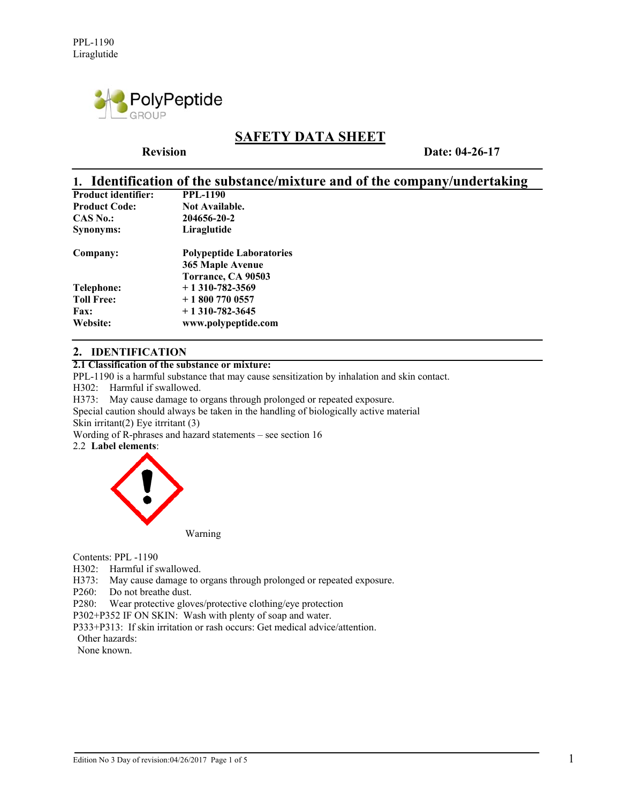

## **SAFETY DATA SHEET**

 **Revision** Date: 04-26-17

## **1. Identification of the substance/mixture and of the company/undertaking**

| <b>PPL-1190</b>                 |
|---------------------------------|
| <b>Not Available.</b>           |
| 204656-20-2                     |
| Liraglutide                     |
| <b>Polypeptide Laboratories</b> |
| 365 Maple Avenue                |
| Torrance, CA 90503              |
| $+1310-782-3569$                |
| $+18007700557$                  |
| $+1310-782-3645$                |
| www.polypeptide.com             |
|                                 |

#### **2. IDENTIFICATION**

**2.1 Classification of the substance or mixture:** 

PPL-1190 is a harmful substance that may cause sensitization by inhalation and skin contact.

H302: Harmful if swallowed.

H373: May cause damage to organs through prolonged or repeated exposure.

Special caution should always be taken in the handling of biologically active material Skin irritant(2) Eye itrritant (3)

Wording of R-phrases and hazard statements – see section 16

2.2 **Label elements**:



Contents: PPL -1190

H302: Harmful if swallowed.

H373: May cause damage to organs through prolonged or repeated exposure.

P260: Do not breathe dust.<br>P280: Wear protective glove

Wear protective gloves/protective clothing/eye protection

P302+P352 IF ON SKIN: Wash with plenty of soap and water.

P333+P313: If skin irritation or rash occurs: Get medical advice/attention.

Other hazards:

None known.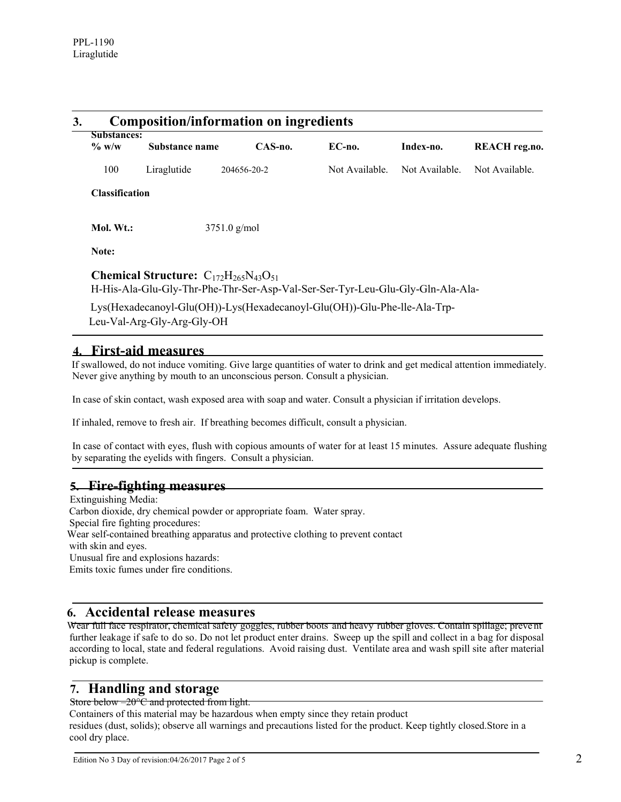| <b>Substances:</b><br>$\%$ w/w | Substance name                                          | $CAS$ -no.                                                                     | $EC$ -no.      | Index-no.      | REACH reg.no.  |
|--------------------------------|---------------------------------------------------------|--------------------------------------------------------------------------------|----------------|----------------|----------------|
| 100                            | Liraglutide                                             | 204656-20-2                                                                    | Not Available. | Not Available. | Not Available. |
| <b>Classification</b>          |                                                         |                                                                                |                |                |                |
| Mol. Wt.:                      | $3751.0$ g/mol                                          |                                                                                |                |                |                |
| Note:                          |                                                         |                                                                                |                |                |                |
|                                | <b>Chemical Structure:</b> $C_{172}H_{265}N_{43}O_{51}$ | H-His-Ala-Glu-Gly-Thr-Phe-Thr-Ser-Asp-Val-Ser-Ser-Tyr-Leu-Glu-Gly-Gln-Ala-Ala- |                |                |                |
|                                | Leu-Val-Arg-Gly-Arg-Gly-OH                              | Lys(Hexadecanoyl-Glu(OH))-Lys(Hexadecanoyl-Glu(OH))-Glu-Phe-lle-Ala-Trp-       |                |                |                |

#### If swallowed, do not induce vomiting. Give large quantities of water to drink and get medical attention immediately. Never give anything by mouth to an unconscious person. Consult a physician.

In case of skin contact, wash exposed area with soap and water. Consult a physician if irritation develops.

If inhaled, remove to fresh air. If breathing becomes difficult, consult a physician.

 In case of contact with eyes, flush with copious amounts of water for at least 15 minutes. Assure adequate flushing by separating the eyelids with fingers. Consult a physician.

### **5. Fire-fighting measures**

 Extinguishing Media: Carbon dioxide, dry chemical powder or appropriate foam. Water spray. Special fire fighting procedures: Wear self-contained breathing apparatus and protective clothing to prevent contact with skin and eyes. Unusual fire and explosions hazards: Emits toxic fumes under fire conditions.

### **6. Accidental release measures**

 Wear full face respirator, chemical safety goggles, rubber boots and heavy rubber gloves. Contain spillage; preve nt further leakage if safe to do so. Do not let product enter drains. Sweep up the spill and collect in a bag for disposal according to local, state and federal regulations. Avoid raising dust. Ventilate area and wash spill site after material pickup is complete.

## **7. Handling and storage**

Store below  $-20^{\circ}$ C and protected from light.

Containers of this material may be hazardous when empty since they retain product

 residues (dust, solids); observe all warnings and precautions listed for the product. Keep tightly closed.Store in a cool dry place.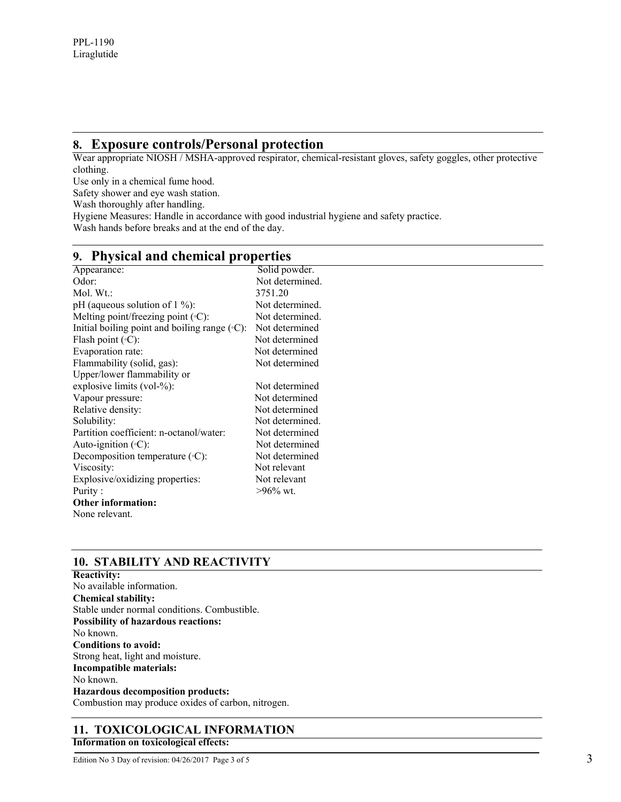## **8. Exposure controls/Personal protection**

Wear appropriate NIOSH / MSHA-approved respirator, chemical-resistant gloves, safety goggles, other protective clothing.

Use only in a chemical fume hood.

Safety shower and eye wash station.

Wash thoroughly after handling.

Hygiene Measures: Handle in accordance with good industrial hygiene and safety practice.

Wash hands before breaks and at the end of the day.

## **9. Physical and chemical properties**

| Appearance:                                               | Solid powder.   |
|-----------------------------------------------------------|-----------------|
| Odor:                                                     | Not determined. |
| Mol. $Wt$ .:                                              | 3751.20         |
| pH (aqueous solution of $1\%$ ):                          | Not determined. |
| Melting point/freezing point $({}^{\circ}C)$ :            | Not determined. |
| Initial boiling point and boiling range $({}^{\circ}C)$ : | Not determined  |
| Flash point $(\mathcal{C})$ :                             | Not determined  |
| Evaporation rate:                                         | Not determined  |
| Flammability (solid, gas):                                | Not determined  |
| Upper/lower flammability or                               |                 |
| explosive limits (vol- $\%$ ):                            | Not determined  |
| Vapour pressure:                                          | Not determined  |
| Relative density:                                         | Not determined  |
| Solubility:                                               | Not determined. |
| Partition coefficient: n-octanol/water:                   | Not determined  |
| Auto-ignition $({\rm ^{\circ}C})$ :                       | Not determined  |
| Decomposition temperature $(\mathcal{C})$ :               | Not determined  |
| Viscosity:                                                | Not relevant    |
| Explosive/oxidizing properties:                           | Not relevant    |
| Purity:                                                   | $>96\%$ wt.     |
| <b>Other information:</b>                                 |                 |
| None relevant.                                            |                 |

#### $\overline{a}$ **10. STABILITY AND REACTIVITY**

**Reactivity:**  No available information. **Chemical stability:**  Stable under normal conditions. Combustible. **Possibility of hazardous reactions:**  No known. **Conditions to avoid:**  Strong heat, light and moisture. **Incompatible materials:**  No known. **Hazardous decomposition products:**  Combustion may produce oxides of carbon, nitrogen.

# **11. TOXICOLOGICAL INFORMATION**

**Information on toxicological effects:**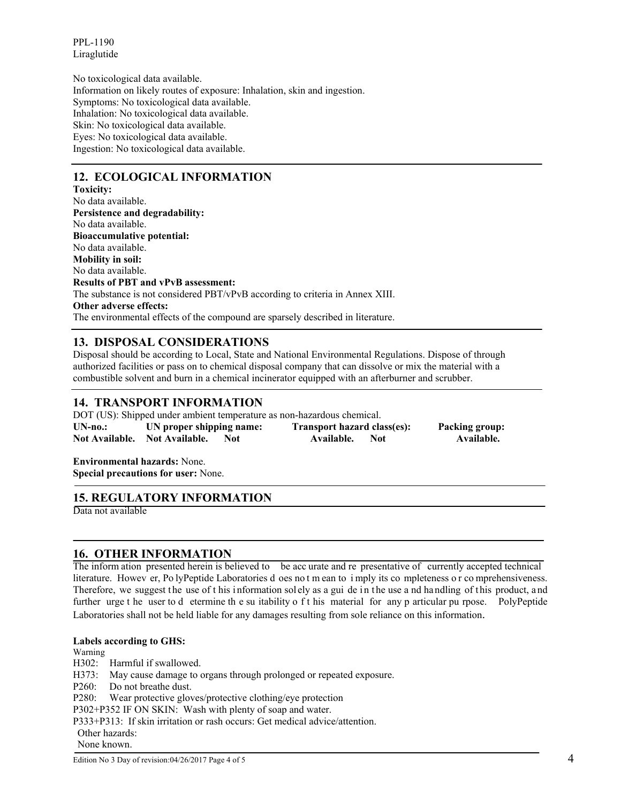PPL-1190 Liraglutide

No toxicological data available. Information on likely routes of exposure: Inhalation, skin and ingestion. Symptoms: No toxicological data available. Inhalation: No toxicological data available. Skin: No toxicological data available. Eyes: No toxicological data available. Ingestion: No toxicological data available.

## **12. ECOLOGICAL INFORMATION**

**Toxicity:**  No data available. **Persistence and degradability:**  No data available. **Bioaccumulative potential:**  No data available. **Mobility in soil:**  No data available. **Results of PBT and vPvB assessment:**  The substance is not considered PBT/vPvB according to criteria in Annex XIII. **Other adverse effects:**  The environmental effects of the compound are sparsely described in literature.

### **13. DISPOSAL CONSIDERATIONS**

Disposal should be according to Local, State and National Environmental Regulations. Dispose of through authorized facilities or pass on to chemical disposal company that can dissolve or mix the material with a combustible solvent and burn in a chemical incinerator equipped with an afterburner and scrubber.

### **14. TRANSPORT INFORMATION**

| DOT (US): Shipped under ambient temperature as non-hazardous chemical. |                          |       |                             |     |                   |  |  |  |
|------------------------------------------------------------------------|--------------------------|-------|-----------------------------|-----|-------------------|--|--|--|
| $UN-no.:$                                                              | UN proper shipping name: |       | Transport hazard class(es): |     | Packing group:    |  |  |  |
| Not Available. Not Available.                                          |                          | - Not | Available.                  | Not | <b>Available.</b> |  |  |  |

**Environmental hazards:** None. **Special precautions for user:** None.

### **15. REGULATORY INFORMATION**

Data not available

### **16. OTHER INFORMATION**

The inform ation presented herein is believed to be acc urate and re presentative of currently accepted technical literature. Howev er, Po lyPeptide Laboratories d oes no t m ean to i mply its co mpleteness o r co mprehensiveness. Therefore, we suggest the use of t his information solely as a gui de in the use a nd handling of this product, and further urge t he user to d etermine the su itability o f t his material for any p articular pu rpose. PolyPeptide Laboratories shall not be held liable for any damages resulting from sole reliance on this information.

#### **Labels according to GHS:**

Warning

H302: Harmful if swallowed.

H373: May cause damage to organs through prolonged or repeated exposure.

P260: Do not breathe dust.

P280: Wear protective gloves/protective clothing/eye protection

P302+P352 IF ON SKIN: Wash with plenty of soap and water.

P333+P313: If skin irritation or rash occurs: Get medical advice/attention.

Other hazards:

None known.